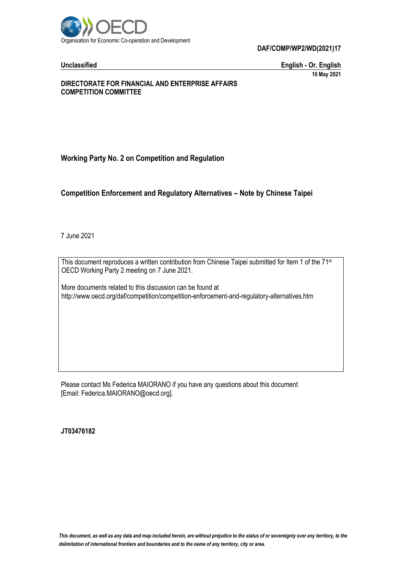

**Unclassified English - Or. English 10 May 2021**

# **DIRECTORATE FOR FINANCIAL AND ENTERPRISE AFFAIRS COMPETITION COMMITTEE**

# **Working Party No. 2 on Competition and Regulation**

# **Competition Enforcement and Regulatory Alternatives – Note by Chinese Taipei**

7 June 2021

This document reproduces a written contribution from Chinese Taipei submitted for Item 1 of the 71<sup>st</sup> OECD Working Party 2 meeting on 7 June 2021.

More documents related to this discussion can be found at http://www.oecd.org/daf/competition/competition-enforcement-and-regulatory-alternatives.htm

Please contact Ms Federica MAIORANO if you have any questions about this document [Email: Federica.MAIORANO@oecd.org].

**JT03476182**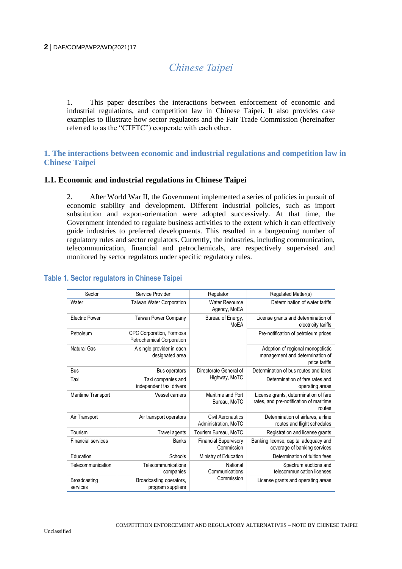# *Chinese Taipei*

1. This paper describes the interactions between enforcement of economic and industrial regulations, and competition law in Chinese Taipei. It also provides case examples to illustrate how sector regulators and the Fair Trade Commission (hereinafter referred to as the "CTFTC") cooperate with each other.

# **1. The interactions between economic and industrial regulations and competition law in Chinese Taipei**

# **1.1. Economic and industrial regulations in Chinese Taipei**

2. After World War II, the Government implemented a series of policies in pursuit of economic stability and development. Different industrial policies, such as import substitution and export-orientation were adopted successively. At that time, the Government intended to regulate business activities to the extent which it can effectively guide industries to preferred developments. This resulted in a burgeoning number of regulatory rules and sector regulators. Currently, the industries, including communication, telecommunication, financial and petrochemicals, are respectively supervised and monitored by sector regulators under specific regulatory rules.

| Sector                    | Service Provider                                      | Regulator                                        | Regulated Matter(s)                                                                        |
|---------------------------|-------------------------------------------------------|--------------------------------------------------|--------------------------------------------------------------------------------------------|
| Water                     | <b>Taiwan Water Corporation</b>                       | <b>Water Resource</b><br>Agency, MoEA            | Determination of water tariffs                                                             |
| <b>Electric Power</b>     | <b>Taiwan Power Company</b>                           | Bureau of Energy,<br>MoEA                        | License grants and determination of<br>electricity tariffs                                 |
| Petroleum                 | CPC Corporation, Formosa<br>Petrochemical Corporation |                                                  | Pre-notification of petroleum prices                                                       |
| Natural Gas               | A single provider in each<br>designated area          |                                                  | Adoption of regional monopolistic<br>management and determination of<br>price tariffs      |
| Bus                       | Bus operators                                         | Directorate General of<br>Highway, MoTC          | Determination of bus routes and fares                                                      |
| Taxi                      | Taxi companies and<br>independent taxi drivers        |                                                  | Determination of fare rates and<br>operating areas                                         |
| Maritime Transport        | <b>Vessel carriers</b>                                | Maritime and Port<br>Bureau, MoTC                | License grants, determination of fare<br>rates, and pre-notification of maritime<br>routes |
| Air Transport             | Air transport operators                               | <b>Civil Aeronautics</b><br>Administration, MoTC | Determination of airfares, airline<br>routes and flight schedules                          |
| Tourism                   | Travel agents                                         | Tourism Bureau, MoTC                             | Registration and license grants                                                            |
| <b>Financial services</b> | <b>Banks</b>                                          | <b>Financial Supervisory</b><br>Commission       | Banking license, capital adequacy and<br>coverage of banking services                      |
| Education                 | Schools                                               | Ministry of Education                            | Determination of tuition fees                                                              |
| Telecommunication         | Telecommunications<br>companies                       | National<br>Communications<br>Commission         | Spectrum auctions and<br>telecommunication licenses                                        |
| Broadcasting<br>services  | Broadcasting operators,<br>program suppliers          |                                                  | License grants and operating areas                                                         |

# **Table 1. Sector regulators in Chinese Taipei**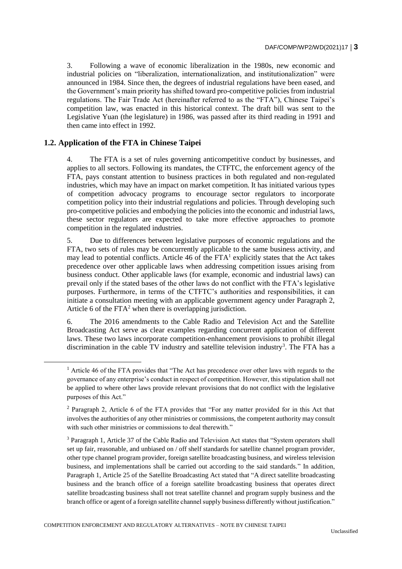3. Following a wave of economic liberalization in the 1980s, new economic and industrial policies on "liberalization, internationalization, and institutionalization" were announced in 1984. Since then, the degrees of industrial regulations have been eased, and the Government's main priority has shifted toward pro-competitive policies from industrial regulations. The Fair Trade Act (hereinafter referred to as the "FTA"), Chinese Taipei's competition law, was enacted in this historical context. The draft bill was sent to the Legislative Yuan (the legislature) in 1986, was passed after its third reading in 1991 and then came into effect in 1992.

# **1.2. Application of the FTA in Chinese Taipei**

 $\overline{a}$ 

4. The FTA is a set of rules governing anticompetitive conduct by businesses, and applies to all sectors. Following its mandates, the CTFTC, the enforcement agency of the FTA, pays constant attention to business practices in both regulated and non-regulated industries, which may have an impact on market competition. It has initiated various types of competition advocacy programs to encourage sector regulators to incorporate competition policy into their industrial regulations and policies. Through developing such pro-competitive policies and embodying the policies into the economic and industrial laws, these sector regulators are expected to take more effective approaches to promote competition in the regulated industries.

5. Due to differences between legislative purposes of economic regulations and the FTA, two sets of rules may be concurrently applicable to the same business activity, and may lead to potential conflicts. Article 46 of the  $FTA<sup>1</sup>$  explicitly states that the Act takes precedence over other applicable laws when addressing competition issues arising from business conduct. Other applicable laws (for example, economic and industrial laws) can prevail only if the stated bases of the other laws do not conflict with the FTA's legislative purposes. Furthermore, in terms of the CTFTC's authorities and responsibilities, it can initiate a consultation meeting with an applicable government agency under Paragraph 2, Article 6 of the  $FTA<sup>2</sup>$  when there is overlapping jurisdiction.

6. The 2016 amendments to the Cable Radio and Television Act and the Satellite Broadcasting Act serve as clear examples regarding concurrent application of different laws. These two laws incorporate competition-enhancement provisions to prohibit illegal discrimination in the cable TV industry and satellite television industry<sup>3</sup>. The FTA has a

<sup>&</sup>lt;sup>1</sup> Article 46 of the FTA provides that "The Act has precedence over other laws with regards to the governance of any enterprise's conduct in respect of competition. However, this stipulation shall not be applied to where other laws provide relevant provisions that do not conflict with the legislative purposes of this Act."

<sup>&</sup>lt;sup>2</sup> Paragraph 2, Article 6 of the FTA provides that "For any matter provided for in this Act that involves the authorities of any other ministries or commissions, the competent authority may consult with such other ministries or commissions to deal therewith."

<sup>3</sup> Paragraph 1, Article 37 of the Cable Radio and Television Act states that "System operators shall set up fair, reasonable, and unbiased on / off shelf standards for satellite channel program provider, other type channel program provider, foreign satellite broadcasting business, and wireless television business, and implementations shall be carried out according to the said standards." In addition, Paragraph 1, Article 25 of the Satellite Broadcasting Act stated that "A direct satellite broadcasting business and the branch office of a foreign satellite broadcasting business that operates direct satellite broadcasting business shall not treat satellite channel and program supply business and the branch office or agent of a foreign satellite channel supply business differently without justification."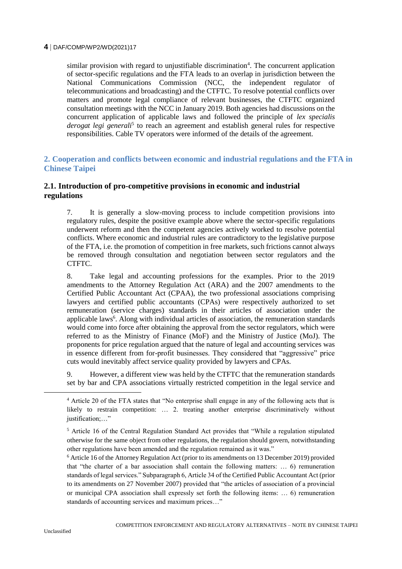similar provision with regard to unjustifiable discrimination<sup>4</sup>. The concurrent application of sector-specific regulations and the FTA leads to an overlap in jurisdiction between the National Communications Commission (NCC, the independent regulator of telecommunications and broadcasting) and the CTFTC. To resolve potential conflicts over matters and promote legal compliance of relevant businesses, the CTFTC organized consultation meetings with the NCC in January 2019. Both agencies had discussions on the concurrent application of applicable laws and followed the principle of *lex specialis*  derogat legi generali<sup>5</sup> to reach an agreement and establish general rules for respective responsibilities. Cable TV operators were informed of the details of the agreement.

# **2. Cooperation and conflicts between economic and industrial regulations and the FTA in Chinese Taipei**

# **2.1. Introduction of pro-competitive provisions in economic and industrial regulations**

7. It is generally a slow-moving process to include competition provisions into regulatory rules, despite the positive example above where the sector-specific regulations underwent reform and then the competent agencies actively worked to resolve potential conflicts. Where economic and industrial rules are contradictory to the legislative purpose of the FTA, i.e. the promotion of competition in free markets, such frictions cannot always be removed through consultation and negotiation between sector regulators and the CTFTC.

8. Take legal and accounting professions for the examples. Prior to the 2019 amendments to the Attorney Regulation Act (ARA) and the 2007 amendments to the Certified Public Accountant Act (CPAA), the two professional associations comprising lawyers and certified public accountants (CPAs) were respectively authorized to set remuneration (service charges) standards in their articles of association under the applicable laws<sup>6</sup>. Along with individual articles of association, the remuneration standards would come into force after obtaining the approval from the sector regulators, which were referred to as the Ministry of Finance (MoF) and the Ministry of Justice (MoJ). The proponents for price regulation argued that the nature of legal and accounting services was in essence different from for-profit businesses. They considered that "aggressive" price cuts would inevitably affect service quality provided by lawyers and CPAs.

9. However, a different view was held by the CTFTC that the remuneration standards set by bar and CPA associations virtually restricted competition in the legal service and

 $\overline{a}$ 

<sup>4</sup> Article 20 of the FTA states that "No enterprise shall engage in any of the following acts that is likely to restrain competition: … 2. treating another enterprise discriminatively without justification;..."

<sup>5</sup> Article 16 of the Central Regulation Standard Act provides that "While a regulation stipulated otherwise for the same object from other regulations, the regulation should govern, notwithstanding other regulations have been amended and the regulation remained as it was."

<sup>6</sup> Article 16 of the Attorney Regulation Act (prior to its amendments on 13 December 2019) provided that "the charter of a bar association shall contain the following matters: … 6) remuneration standards of legal services." Subparagraph 6, Article 34 of the Certified Public Accountant Act (prior to its amendments on 27 November 2007) provided that "the articles of association of a provincial or municipal CPA association shall expressly set forth the following items: … 6) remuneration standards of accounting services and maximum prices…"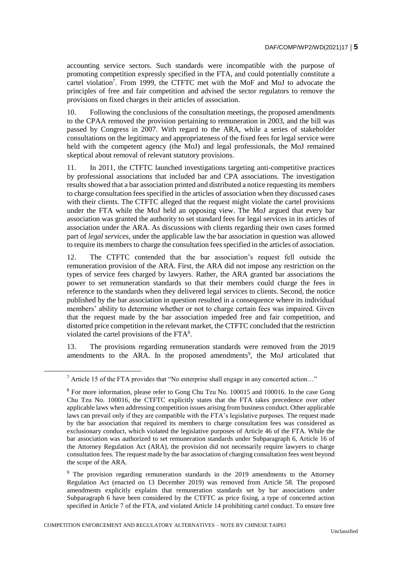accounting service sectors. Such standards were incompatible with the purpose of promoting competition expressly specified in the FTA, and could potentially constitute a cartel violation<sup>7</sup>. From 1999, the CTFTC met with the MoF and MoJ to advocate the principles of free and fair competition and advised the sector regulators to remove the provisions on fixed charges in their articles of association.

10. Following the conclusions of the consultation meetings, the proposed amendments to the CPAA removed the provision pertaining to remuneration in 2003, and the bill was passed by Congress in 2007. With regard to the ARA, while a series of stakeholder consultations on the legitimacy and appropriateness of the fixed fees for legal service were held with the competent agency (the MoJ) and legal professionals, the MoJ remained skeptical about removal of relevant statutory provisions.

11. In 2011, the CTFTC launched investigations targeting anti-competitive practices by professional associations that included bar and CPA associations. The investigation results showed that a bar association printed and distributed a notice requesting its members to charge consultation fees specified in the articles of association when they discussed cases with their clients. The CTFTC alleged that the request might violate the cartel provisions under the FTA while the MoJ held an opposing view. The MoJ argued that every bar association was granted the authority to set standard fees for legal services in its articles of association under the ARA. As discussions with clients regarding their own cases formed part of *legal services*, under the applicable law the bar association in question was allowed to require its members to charge the consultation fees specified in the articles of association.

12. The CTFTC contended that the bar association's request fell outside the remuneration provision of the ARA. First, the ARA did not impose any restriction on the types of service fees charged by lawyers. Rather, the ARA granted bar associations the power to set remuneration standards so that their members could charge the fees in reference to the standards when they delivered legal services to clients. Second, the notice published by the bar association in question resulted in a consequence where its individual members' ability to determine whether or not to charge certain fees was impaired. Given that the request made by the bar association impeded free and fair competition, and distorted price competition in the relevant market, the CTFTC concluded that the restriction violated the cartel provisions of the  $FTA<sup>8</sup>$ .

13. The provisions regarding remuneration standards were removed from the 2019 amendments to the ARA. In the proposed amendments<sup>9</sup>, the MoJ articulated that

 $\overline{a}$ 

<sup>9</sup> The provision regarding remuneration standards in the 2019 amendments to the Attorney Regulation Act (enacted on 13 December 2019) was removed from Article 58. The proposed amendments explicitly explains that remuneration standards set by bar associations under Subparagraph 6 have been considered by the CTFTC as price fixing, a type of concerted action specified in Article 7 of the FTA, and violated Article 14 prohibiting cartel conduct. To ensure free

<sup>7</sup> Article 15 of the FTA provides that "No enterprise shall engage in any concerted action…"

<sup>8</sup> For more information, please refer to Gong Chu Tzu No. 100015 and 100016. In the case Gong Chu Tzu No. 100016, the CTFTC explicitly states that the FTA takes precedence over other applicable laws when addressing competition issues arising from business conduct. Other applicable laws can prevail only if they are compatible with the FTA's legislative purposes. The request made by the bar association that required its members to charge consultation fees was considered as exclusionary conduct, which violated the legislative purposes of Article 46 of the FTA. While the bar association was authorized to set remuneration standards under Subparagraph 6, Article 16 of the Attorney Regulation Act (ARA), the provision did not necessarily require lawyers to charge consultation fees. The request made by the bar association of charging consultation fees went beyond the scope of the ARA.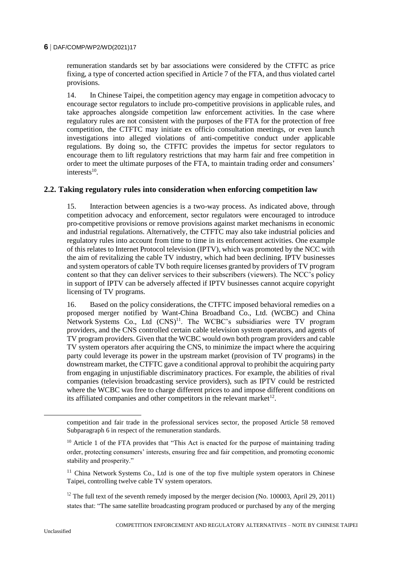remuneration standards set by bar associations were considered by the CTFTC as price fixing, a type of concerted action specified in Article 7 of the FTA, and thus violated cartel provisions.

14. In Chinese Taipei, the competition agency may engage in competition advocacy to encourage sector regulators to include pro-competitive provisions in applicable rules, and take approaches alongside competition law enforcement activities. In the case where regulatory rules are not consistent with the purposes of the FTA for the protection of free competition, the CTFTC may initiate ex officio consultation meetings, or even launch investigations into alleged violations of anti-competitive conduct under applicable regulations. By doing so, the CTFTC provides the impetus for sector regulators to encourage them to lift regulatory restrictions that may harm fair and free competition in order to meet the ultimate purposes of the FTA, to maintain trading order and consumers' interests $10$ .

# **2.2. Taking regulatory rules into consideration when enforcing competition law**

15. Interaction between agencies is a two-way process. As indicated above, through competition advocacy and enforcement, sector regulators were encouraged to introduce pro-competitive provisions or remove provisions against market mechanisms in economic and industrial regulations. Alternatively, the CTFTC may also take industrial policies and regulatory rules into account from time to time in its enforcement activities. One example of this relates to Internet Protocol television (IPTV), which was promoted by the NCC with the aim of revitalizing the cable TV industry, which had been declining. IPTV businesses and system operators of cable TV both require licenses granted by providers of TV program content so that they can deliver services to their subscribers (viewers). The NCC's policy in support of IPTV can be adversely affected if IPTV businesses cannot acquire copyright licensing of TV programs.

16. Based on the policy considerations, the CTFTC imposed behavioral remedies on a proposed merger notified by Want-China Broadband Co., Ltd. (WCBC) and China Network Systems Co., Ltd (CNS)<sup>11</sup>. The WCBC's subsidiaries were TV program providers, and the CNS controlled certain cable television system operators, and agents of TV program providers. Given that the WCBC would own both program providers and cable TV system operators after acquiring the CNS, to minimize the impact where the acquiring party could leverage its power in the upstream market (provision of TV programs) in the downstream market, the CTFTC gave a conditional approval to prohibit the acquiring party from engaging in unjustifiable discriminatory practices. For example, the abilities of rival companies (television broadcasting service providers), such as IPTV could be restricted where the WCBC was free to charge different prices to and impose different conditions on its affiliated companies and other competitors in the relevant market<sup>12</sup>.

 $\overline{a}$ 

competition and fair trade in the professional services sector, the proposed Article 58 removed Subparagraph 6 in respect of the remuneration standards.

<sup>&</sup>lt;sup>10</sup> Article 1 of the FTA provides that "This Act is enacted for the purpose of maintaining trading order, protecting consumers' interests, ensuring free and fair competition, and promoting economic stability and prosperity."

<sup>&</sup>lt;sup>11</sup> China Network Systems Co., Ltd is one of the top five multiple system operators in Chinese Taipei, controlling twelve cable TV system operators.

<sup>&</sup>lt;sup>12</sup> The full text of the seventh remedy imposed by the merger decision (No. 100003, April 29, 2011) states that: "The same satellite broadcasting program produced or purchased by any of the merging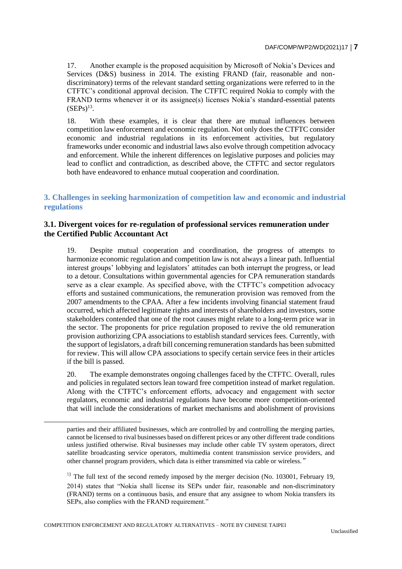17. Another example is the proposed acquisition by Microsoft of Nokia's Devices and Services (D&S) business in 2014. The existing FRAND (fair, reasonable and nondiscriminatory) terms of the relevant standard setting organizations were referred to in the CTFTC's conditional approval decision. The CTFTC required Nokia to comply with the FRAND terms whenever it or its assignee(s) licenses Nokia's standard-essential patents  $(SEPs)^{13}$ .

18. With these examples, it is clear that there are mutual influences between competition law enforcement and economic regulation. Not only does the CTFTC consider economic and industrial regulations in its enforcement activities, but regulatory frameworks under economic and industrial laws also evolve through competition advocacy and enforcement. While the inherent differences on legislative purposes and policies may lead to conflict and contradiction, as described above, the CTFTC and sector regulators both have endeavored to enhance mutual cooperation and coordination.

# **3. Challenges in seeking harmonization of competition law and economic and industrial regulations**

# **3.1. Divergent voices for re-regulation of professional services remuneration under the Certified Public Accountant Act**

19. Despite mutual cooperation and coordination, the progress of attempts to harmonize economic regulation and competition law is not always a linear path. Influential interest groups' lobbying and legislators' attitudes can both interrupt the progress, or lead to a detour. Consultations within governmental agencies for CPA remuneration standards serve as a clear example. As specified above, with the CTFTC's competition advocacy efforts and sustained communications, the remuneration provision was removed from the 2007 amendments to the CPAA. After a few incidents involving financial statement fraud occurred, which affected legitimate rights and interests of shareholders and investors, some stakeholders contended that one of the root causes might relate to a long-term price war in the sector. The proponents for price regulation proposed to revive the old remuneration provision authorizing CPA associations to establish standard services fees. Currently, with the support of legislators, a draft bill concerning remuneration standards has been submitted for review. This will allow CPA associations to specify certain service fees in their articles if the bill is passed.

20. The example demonstrates ongoing challenges faced by the CTFTC. Overall, rules and policies in regulated sectors lean toward free competition instead of market regulation. Along with the CTFTC's enforcement efforts, advocacy and engagement with sector regulators, economic and industrial regulations have become more competition-oriented that will include the considerations of market mechanisms and abolishment of provisions

COMPETITION ENFORCEMENT AND REGULATORY ALTERNATIVES – NOTE BY CHINESE TAIPEI

 $\overline{a}$ 

parties and their affiliated businesses, which are controlled by and controlling the merging parties, cannot be licensed to rival businesses based on different prices or any other different trade conditions unless justified otherwise. Rival businesses may include other cable TV system operators, direct satellite broadcasting service operators, multimedia content transmission service providers, and other channel program providers, which data is either transmitted via cable or wireless."

 $13$  The full text of the second remedy imposed by the merger decision (No. 103001, February 19, 2014) states that "Nokia shall license its SEPs under fair, reasonable and non-discriminatory (FRAND) terms on a continuous basis, and ensure that any assignee to whom Nokia transfers its SEPs, also complies with the FRAND requirement."